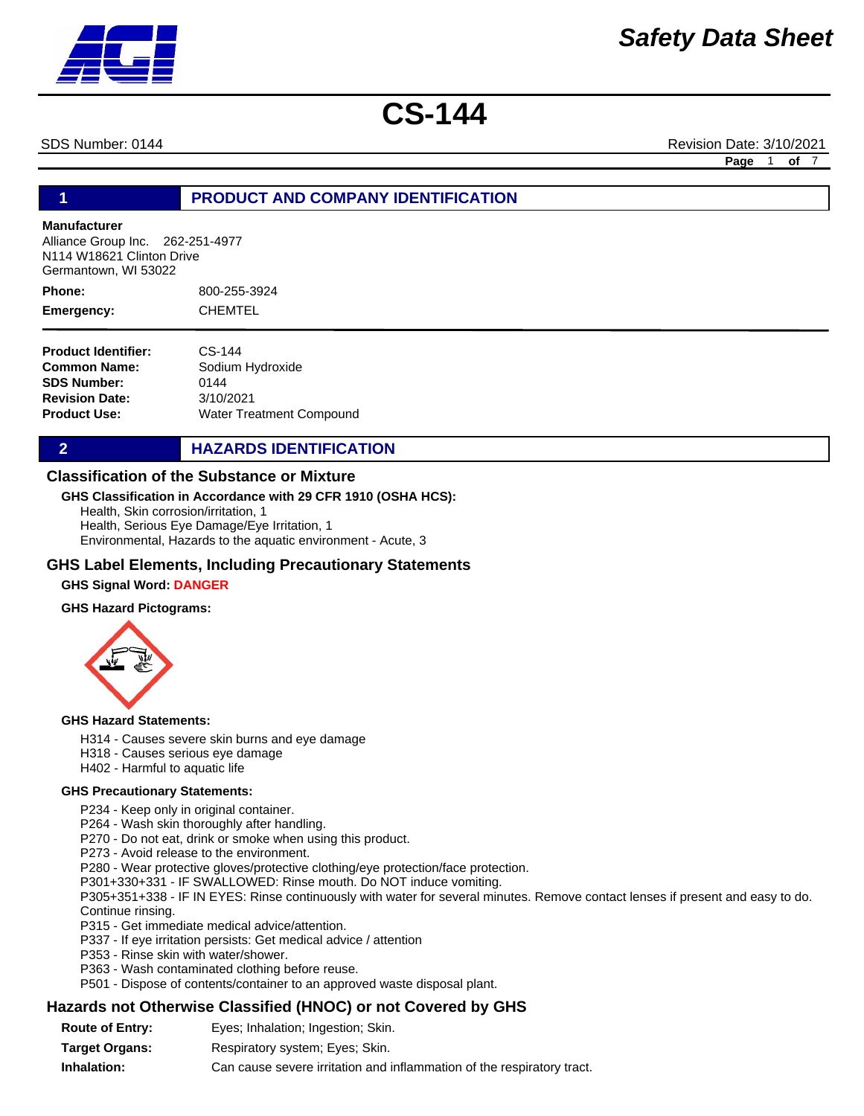SDS Number: 0144 Revision Date: 3/10/2021

**Page** 1 **of** 7

# **1 PRODUCT AND COMPANY IDENTIFICATION**

#### **Manufacturer**

Alliance Group Inc. 262-251-4977 N114 W18621 Clinton Drive Germantown, WI 53022

800-255-3924 CHEMTEL **Phone: Emergency:**

| <b>Product Identifier:</b> | $CS-144$                 |
|----------------------------|--------------------------|
| Common Name:               | Sodium Hydroxide         |
| <b>SDS Number:</b>         | 0144                     |
| <b>Revision Date:</b>      | 3/10/2021                |
| Product Use:               | Water Treatment Compound |

**2 HAZARDS IDENTIFICATION** 

### **Classification of the Substance or Mixture**

#### **GHS Classification in Accordance with 29 CFR 1910 (OSHA HCS):**

Health, Skin corrosion/irritation, 1 Health, Serious Eye Damage/Eye Irritation, 1 Environmental, Hazards to the aquatic environment - Acute, 3

### **GHS Label Elements, Including Precautionary Statements**

### **GHS Signal Word: DANGER**

#### **GHS Hazard Pictograms:**



#### **GHS Hazard Statements:**

- H314 Causes severe skin burns and eye damage
- H318 Causes serious eye damage
- H402 Harmful to aquatic life

#### **GHS Precautionary Statements:**

P234 - Keep only in original container.

P264 - Wash skin thoroughly after handling.

- P270 Do not eat, drink or smoke when using this product.
- P273 Avoid release to the environment.

P280 - Wear protective gloves/protective clothing/eye protection/face protection.

P301+330+331 - IF SWALLOWED: Rinse mouth. Do NOT induce vomiting.

P305+351+338 - IF IN EYES: Rinse continuously with water for several minutes. Remove contact lenses if present and easy to do. Continue rinsing.

- P315 Get immediate medical advice/attention.
- P337 If eye irritation persists: Get medical advice / attention
- P353 Rinse skin with water/shower.
- P363 Wash contaminated clothing before reuse.
- P501 Dispose of contents/container to an approved waste disposal plant.

### **Hazards not Otherwise Classified (HNOC) or not Covered by GHS**

**Route of Entry: Target Organs: Inhalation:** Respiratory system; Eyes; Skin. Can cause severe irritation and inflammation of the respiratory tract. Eyes; Inhalation; Ingestion; Skin.

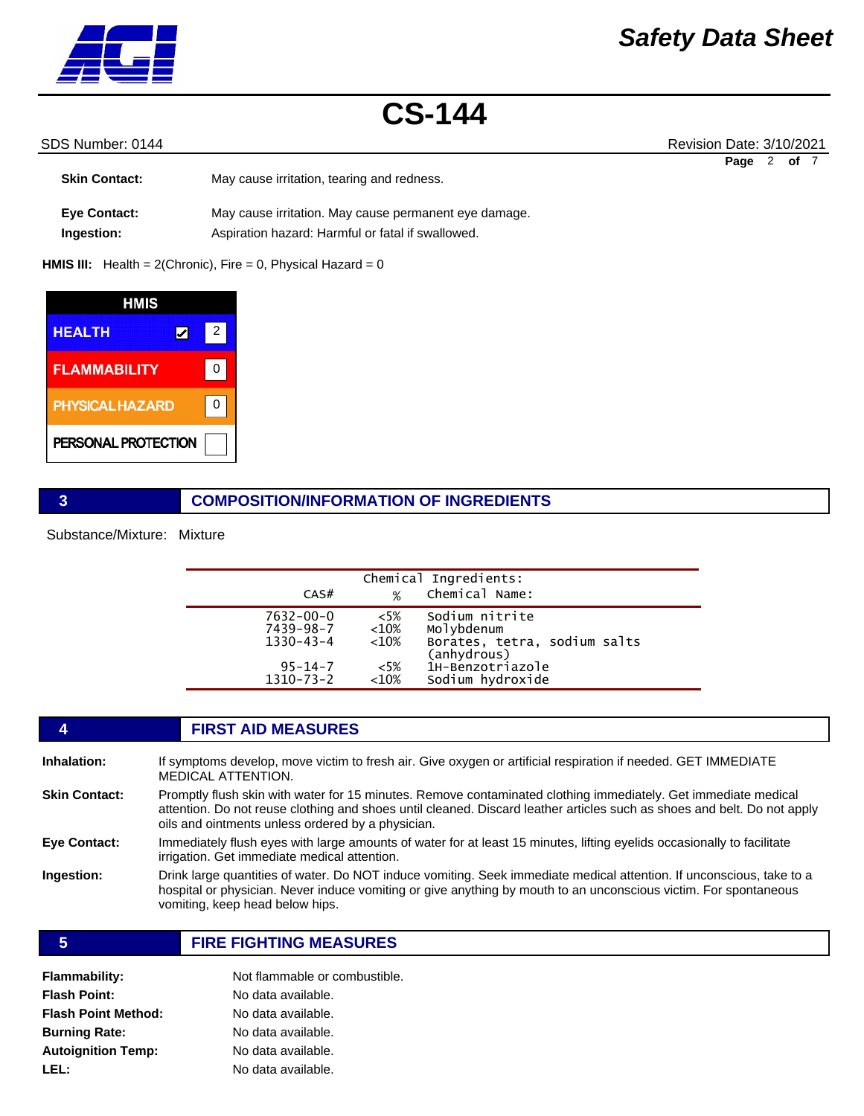

# SDS Number: 0144 Revision Date: 3/10/2021

| <b>Skin Contact:</b>              | May cause irritation, tearing and redness.                                                                 | Page | of <sub>7</sub> |  |
|-----------------------------------|------------------------------------------------------------------------------------------------------------|------|-----------------|--|
| <b>Eve Contact:</b><br>Ingestion: | May cause irritation. May cause permanent eye damage.<br>Aspiration hazard: Harmful or fatal if swallowed. |      |                 |  |

**HMIS III:** Health = 2(Chronic), Fire = 0, Physical Hazard = 0

| HMIS                   |   |  |
|------------------------|---|--|
| <b>HEALTH</b>          | 2 |  |
| <b>FLAMMABILITY</b>    | U |  |
| <b>PHYSICAL HAZARD</b> |   |  |
| PERSONAL PROTECTION    |   |  |

## **3 COMPOSITION/INFORMATION OF INGREDIENTS**

Substance/Mixture: Mixture

| CAS#                                                                                | %                                                 | Chemical Ingredients:<br>Chemical Name:                                                                             |
|-------------------------------------------------------------------------------------|---------------------------------------------------|---------------------------------------------------------------------------------------------------------------------|
| $7632 - 00 - 0$<br>7439-98-7<br>$1330 - 43 - 4$<br>$95 - 14 - 7$<br>$1310 - 73 - 2$ | $<5\%$<br>$<$ 10%<br>$<$ 10%<br>$<$ 5%<br>$<10\%$ | Sodium nitrite<br>Molybdenum<br>Borates, tetra, sodium salts<br>(anhydrous)<br>1H-Benzotriazole<br>Sodium hydroxide |

# **4 FIRST AID MEASURES**

| <b>Inhalation:</b>   | If symptoms develop, move victim to fresh air. Give oxygen or artificial respiration if needed. GET IMMEDIATE<br><b>MEDICAL ATTENTION.</b>                                                                                                                                                     |
|----------------------|------------------------------------------------------------------------------------------------------------------------------------------------------------------------------------------------------------------------------------------------------------------------------------------------|
| <b>Skin Contact:</b> | Promptly flush skin with water for 15 minutes. Remove contaminated clothing immediately. Get immediate medical<br>attention. Do not reuse clothing and shoes until cleaned. Discard leather articles such as shoes and belt. Do not apply<br>oils and ointments unless ordered by a physician. |
| Eye Contact:         | Immediately flush eyes with large amounts of water for at least 15 minutes, lifting eyelids occasionally to facilitate<br>irrigation. Get immediate medical attention.                                                                                                                         |
| <b>Ingestion:</b>    | Drink large quantities of water. Do NOT induce vomiting. Seek immediate medical attention. If unconscious, take to a<br>hospital or physician. Never induce vomiting or give anything by mouth to an unconscious victim. For spontaneous<br>vomiting, keep head below hips.                    |

### **5 FIRE FIGHTING MEASURES**

| Flammability:        | Not flammable or combustible. |
|----------------------|-------------------------------|
| Flash Point:         | No data available.            |
| Flash Point Method:  | No data available.            |
| <b>Burning Rate:</b> | No data available.            |
| Autoignition Temp:   | No data available.            |
| LEL:                 | No data available.            |
|                      |                               |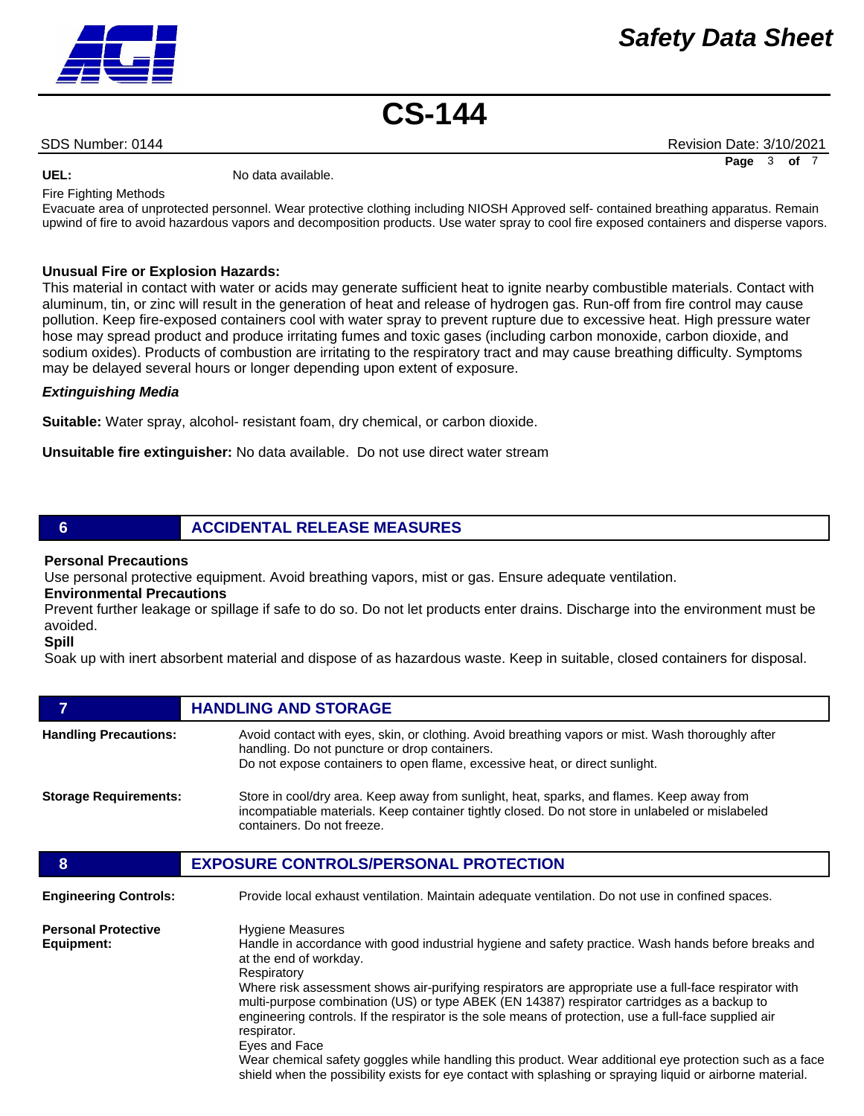SDS Number: 0144 Revision Date: 3/10/2021 **Page** 3 **of** 7

UEL: UEL: No data available.

Fire Fighting Methods

Evacuate area of unprotected personnel. Wear protective clothing including NIOSH Approved self- contained breathing apparatus. Remain upwind of fire to avoid hazardous vapors and decomposition products. Use water spray to cool fire exposed containers and disperse vapors.

### **Unusual Fire or Explosion Hazards:**

This material in contact with water or acids may generate sufficient heat to ignite nearby combustible materials. Contact with aluminum, tin, or zinc will result in the generation of heat and release of hydrogen gas. Run-off from fire control may cause pollution. Keep fire-exposed containers cool with water spray to prevent rupture due to excessive heat. High pressure water hose may spread product and produce irritating fumes and toxic gases (including carbon monoxide, carbon dioxide, and sodium oxides). Products of combustion are irritating to the respiratory tract and may cause breathing difficulty. Symptoms may be delayed several hours or longer depending upon extent of exposure.

#### *Extinguishing Media*

**Suitable:** Water spray, alcohol- resistant foam, dry chemical, or carbon dioxide.

**Unsuitable fire extinguisher:** No data available. Do not use direct water stream

# **6 ACCIDENTAL RELEASE MEASURES**

#### **Personal Precautions**

Use personal protective equipment. Avoid breathing vapors, mist or gas. Ensure adequate ventilation.

# **Environmental Precautions**

Prevent further leakage or spillage if safe to do so. Do not let products enter drains. Discharge into the environment must be avoided.

### **Spill**

Soak up with inert absorbent material and dispose of as hazardous waste. Keep in suitable, closed containers for disposal.

| 7                                        | <b>HANDLING AND STORAGE</b>                                                                                                                                                                                                                                                                                                                                                                                                                                                                                                                                                                                                                                                                                                                       |
|------------------------------------------|---------------------------------------------------------------------------------------------------------------------------------------------------------------------------------------------------------------------------------------------------------------------------------------------------------------------------------------------------------------------------------------------------------------------------------------------------------------------------------------------------------------------------------------------------------------------------------------------------------------------------------------------------------------------------------------------------------------------------------------------------|
| <b>Handling Precautions:</b>             | Avoid contact with eyes, skin, or clothing. Avoid breathing vapors or mist. Wash thoroughly after<br>handling. Do not puncture or drop containers.<br>Do not expose containers to open flame, excessive heat, or direct sunlight.                                                                                                                                                                                                                                                                                                                                                                                                                                                                                                                 |
| <b>Storage Requirements:</b>             | Store in cool/dry area. Keep away from sunlight, heat, sparks, and flames. Keep away from<br>incompatiable materials. Keep container tightly closed. Do not store in unlabeled or mislabeled<br>containers. Do not freeze.                                                                                                                                                                                                                                                                                                                                                                                                                                                                                                                        |
| 8                                        | <b>EXPOSURE CONTROLS/PERSONAL PROTECTION</b>                                                                                                                                                                                                                                                                                                                                                                                                                                                                                                                                                                                                                                                                                                      |
| <b>Engineering Controls:</b>             | Provide local exhaust ventilation. Maintain adequate ventilation. Do not use in confined spaces.                                                                                                                                                                                                                                                                                                                                                                                                                                                                                                                                                                                                                                                  |
| <b>Personal Protective</b><br>Equipment: | <b>Hygiene Measures</b><br>Handle in accordance with good industrial hygiene and safety practice. Wash hands before breaks and<br>at the end of workday.<br>Respiratory<br>Where risk assessment shows air-purifying respirators are appropriate use a full-face respirator with<br>multi-purpose combination (US) or type ABEK (EN 14387) respirator cartridges as a backup to<br>engineering controls. If the respirator is the sole means of protection, use a full-face supplied air<br>respirator.<br>Eyes and Face<br>Wear chemical safety goggles while handling this product. Wear additional eye protection such as a face<br>shield when the possibility exists for eye contact with splashing or spraying liquid or airborne material. |

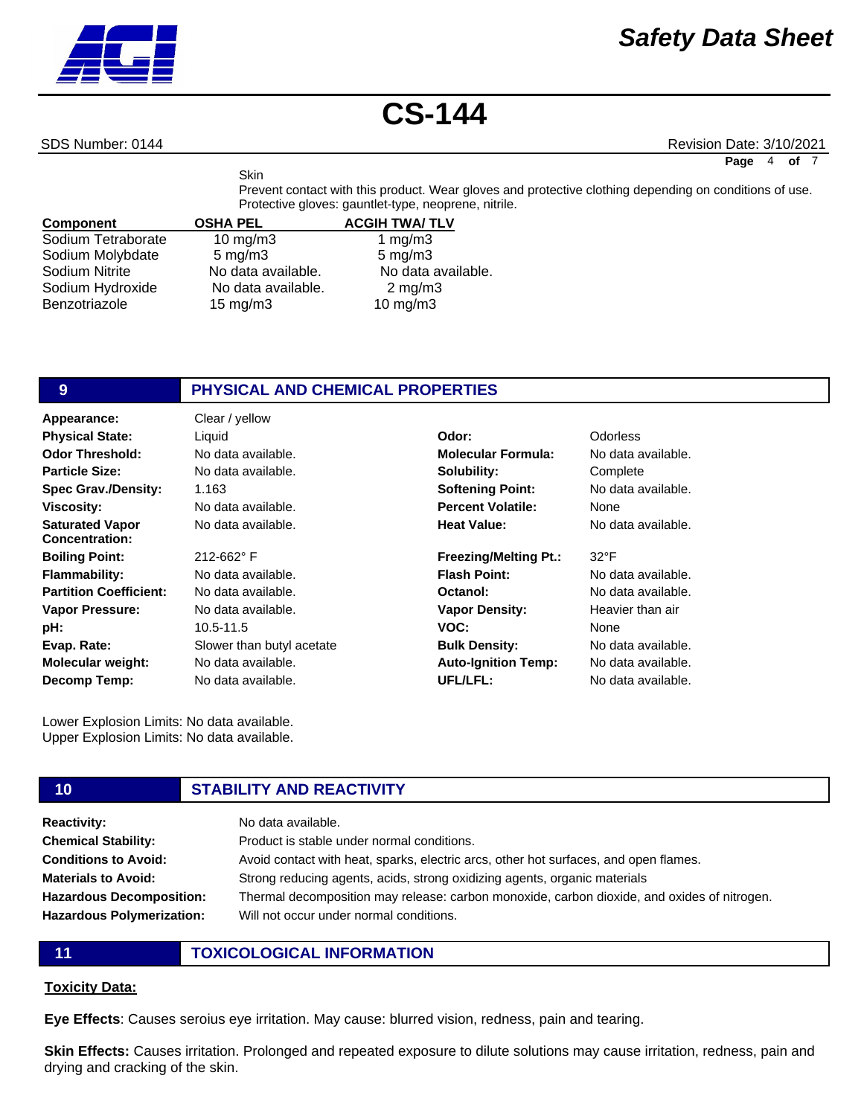# SDS Number: 0144 Revision Date: 3/10/2021

**Page** 4 **of** 7

Prevent contact with this product. Wear gloves and protective clothing depending on conditions of use. Protective gloves: gauntlet-type, neoprene, nitrile.

| <b>Component</b>   | <b>OSHA PEL</b>    | <b>ACGIH TWA/TLV</b> |
|--------------------|--------------------|----------------------|
| Sodium Tetraborate | $10$ mg/m $3$      | 1 mg/m $3$           |
| Sodium Molybdate   | $5 \text{ mg/m}$ 3 | $5 \text{ mg/m}$ 3   |
| Sodium Nitrite     | No data available. | No data available.   |
| Sodium Hydroxide   | No data available. | $2 \text{ mg/m}$     |
| Benzotriazole      | $15 \text{ mg/m}$  | 10 $mg/m3$           |

**Skin** 

# **9 PHYSICAL AND CHEMICAL PROPERTIES**

| Appearance:                                     | Clear / yellow            |                              |                    |
|-------------------------------------------------|---------------------------|------------------------------|--------------------|
| <b>Physical State:</b>                          | Liquid                    | Odor:                        | <b>Odorless</b>    |
| <b>Odor Threshold:</b>                          | No data available.        | <b>Molecular Formula:</b>    | No data available. |
| <b>Particle Size:</b>                           | No data available.        | Solubility:                  | Complete           |
| <b>Spec Grav./Density:</b>                      | 1.163                     | <b>Softening Point:</b>      | No data available. |
| <b>Viscosity:</b>                               | No data available.        | <b>Percent Volatile:</b>     | None               |
| <b>Saturated Vapor</b><br><b>Concentration:</b> | No data available.        | <b>Heat Value:</b>           | No data available. |
| <b>Boiling Point:</b>                           | 212-662°F                 | <b>Freezing/Melting Pt.:</b> | $32^{\circ}F$      |
| <b>Flammability:</b>                            | No data available.        | <b>Flash Point:</b>          | No data available. |
| <b>Partition Coefficient:</b>                   | No data available.        | Octanol:                     | No data available. |
| <b>Vapor Pressure:</b>                          | No data available.        | <b>Vapor Density:</b>        | Heavier than air   |
| pH:                                             | 10.5-11.5                 | VOC:                         | None               |
| Evap. Rate:                                     | Slower than butyl acetate | <b>Bulk Density:</b>         | No data available. |
| <b>Molecular weight:</b>                        | No data available.        | <b>Auto-Ignition Temp:</b>   | No data available. |
| Decomp Temp:                                    | No data available.        | UFL/LFL:                     | No data available. |

Lower Explosion Limits: No data available. Upper Explosion Limits: No data available.

# **10 STABILITY AND REACTIVITY**

| <b>Reactivity:</b>               | No data available.                                                                          |
|----------------------------------|---------------------------------------------------------------------------------------------|
| <b>Chemical Stability:</b>       | Product is stable under normal conditions.                                                  |
| <b>Conditions to Avoid:</b>      | Avoid contact with heat, sparks, electric arcs, other hot surfaces, and open flames.        |
| <b>Materials to Avoid:</b>       | Strong reducing agents, acids, strong oxidizing agents, organic materials                   |
| <b>Hazardous Decomposition:</b>  | Thermal decomposition may release: carbon monoxide, carbon dioxide, and oxides of nitrogen. |
| <b>Hazardous Polymerization:</b> | Will not occur under normal conditions.                                                     |
|                                  |                                                                                             |

**11 TOXICOLOGICAL INFORMATION**

### **Toxicity Data:**

**Eye Effects**: Causes seroius eye irritation. May cause: blurred vision, redness, pain and tearing.

**Skin Effects:** Causes irritation. Prolonged and repeated exposure to dilute solutions may cause irritation, redness, pain and drying and cracking of the skin.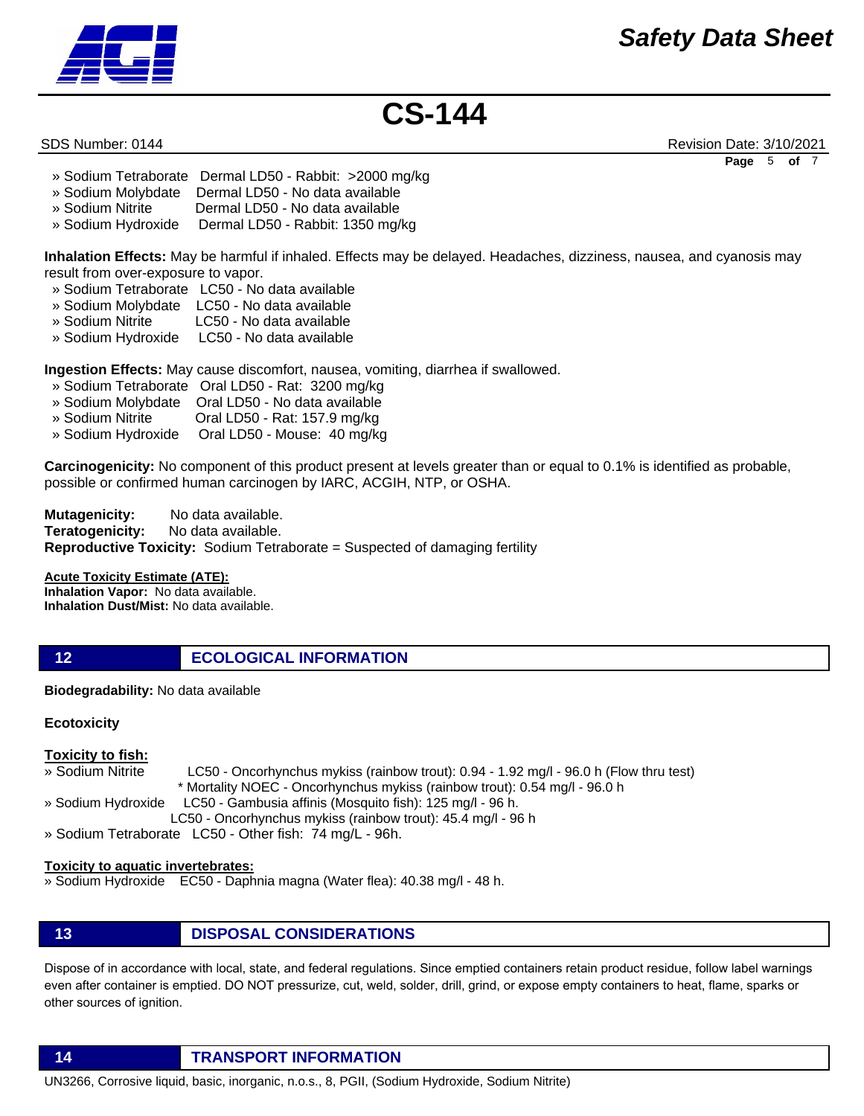

SDS Number: 0144 Revision Date: 3/10/2021 **Page** 5 **of** 7

- » Sodium Tetraborate Dermal LD50 Rabbit: >2000 mg/kg
- » Sodium Molybdate Dermal LD50 No data available
- » Sodium Nitrite Dermal LD50 No data available
- » Sodium Hydroxide Dermal LD50 Rabbit: 1350 mg/kg

**Inhalation Effects:** May be harmful if inhaled. Effects may be delayed. Headaches, dizziness, nausea, and cyanosis may result from over-exposure to vapor.

- » Sodium Tetraborate LC50 No data available
- » Sodium Molybdate LC50 No data available
- » Sodium Nitrite LC50 No data available
- » Sodium Hydroxide LC50 No data available

**Ingestion Effects:** May cause discomfort, nausea, vomiting, diarrhea if swallowed.

- » Sodium Tetraborate Oral LD50 Rat: 3200 mg/kg
- » Sodium Molybdate Oral LD50 No data available
- » Sodium Nitrite Oral LD50 Rat: 157.9 mg/kg
- » Sodium Hydroxide Oral LD50 Mouse: 40 mg/kg

**Carcinogenicity:** No component of this product present at levels greater than or equal to 0.1% is identified as probable, possible or confirmed human carcinogen by IARC, ACGIH, NTP, or OSHA.

**Mutagenicity:** No data available. **Teratogenicity:** No data available. **Reproductive Toxicity:** Sodium Tetraborate = Suspected of damaging fertility

### **Acute Toxicity Estimate (ATE):**

**Inhalation Vapor:** No data available. **Inhalation Dust/Mist:** No data available.

# **12 ECOLOGICAL INFORMATION**

**Biodegradability:** No data available

### **Ecotoxicity**

### **Toxicity to fish:**

- » Sodium Nitrite LC50 Oncorhynchus mykiss (rainbow trout): 0.94 1.92 mg/l 96.0 h (Flow thru test) \* Mortality NOEC - Oncorhynchus mykiss (rainbow trout): 0.54 mg/l - 96.0 h » Sodium Hydroxide LC50 - Gambusia affinis (Mosquito fish): 125 mg/l - 96 h.
- LC50 Oncorhynchus mykiss (rainbow trout): 45.4 mg/l 96 h
- » Sodium Tetraborate LC50 Other fish: 74 mg/L 96h.

#### **Toxicity to aquatic invertebrates:**

- » Sodium Hydroxide EC50 Daphnia magna (Water flea): 40.38 mg/l 48 h.
- **13 DISPOSAL CONSIDERATIONS**

Dispose of in accordance with local, state, and federal regulations. Since emptied containers retain product residue, follow label warnings even after container is emptied. DO NOT pressurize, cut, weld, solder, drill, grind, or expose empty containers to heat, flame, sparks or other sources of ignition.

**14 TRANSPORT INFORMATION**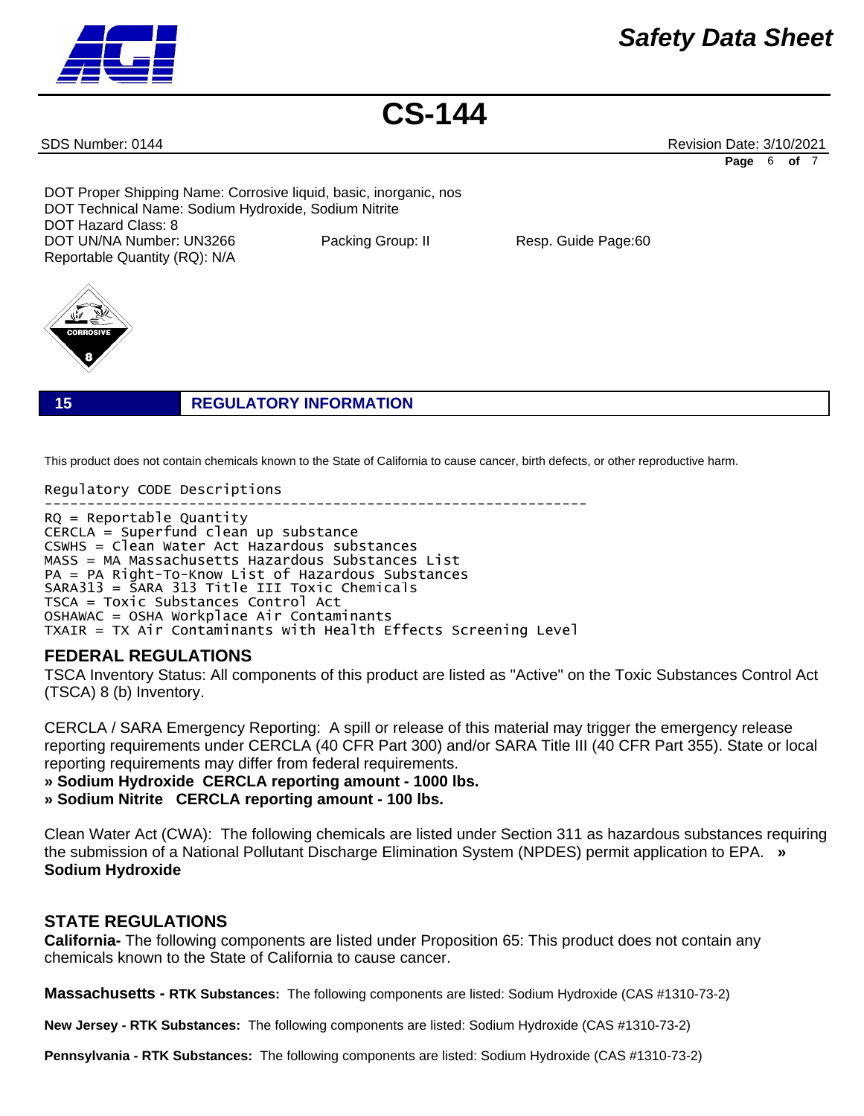# *Safety Data Sheet*



**CS-144**

SDS Number: 0144 Revision Date: 3/10/2021 **Page** 6 **of** 7

DOT Proper Shipping Name: Corrosive liquid, basic, inorganic, nos DOT Technical Name: Sodium Hydroxide, Sodium Nitrite DOT Hazard Class: 8 DOT UN/NA Number: UN3266 Packing Group: II Resp. Guide Page:60 Reportable Quantity (RQ): N/A



**15 REGULATORY INFORMATION**

This product does not contain chemicals known to the State of California to cause cancer, birth defects, or other reproductive harm.

Regulatory CODE Descriptions

---------------------------------------------------------------- RQ = Reportable Quantity CERCLA = Superfund clean up substance CSWHS = Clean Water Act Hazardous substances MASS = MA Massachusetts Hazardous Substances List PA = PA Right-To-Know List of Hazardous Substances SARA313 = SARA 313 Title III Toxic Chemicals TSCA = Toxic Substances Control Act OSHAWAC = OSHA Workplace Air Contaminants TXAIR = TX Air Contaminants with Health Effects Screening Level

# **FEDERAL REGULATIONS**

TSCA Inventory Status: All components of this product are listed as "Active" on the Toxic Substances Control Act (TSCA) 8 (b) Inventory.

CERCLA / SARA Emergency Reporting: A spill or release of this material may trigger the emergency release reporting requirements under CERCLA (40 CFR Part 300) and/or SARA Title III (40 CFR Part 355). State or local reporting requirements may differ from federal requirements.

**» Sodium Hydroxide CERCLA reporting amount - 1000 lbs.** 

**» Sodium Nitrite CERCLA reporting amount - 100 lbs.**

Clean Water Act (CWA): The following chemicals are listed under Section 311 as hazardous substances requiring the submission of a National Pollutant Discharge Elimination System (NPDES) permit application to EPA. **» Sodium Hydroxide**

# **STATE REGULATIONS**

**California-** The following components are listed under Proposition 65: This product does not contain any chemicals known to the State of California to cause cancer.

**Massachusetts - RTK Substances:** The following components are listed: Sodium Hydroxide (CAS #1310-73-2)

**New Jersey - RTK Substances:** The following components are listed: Sodium Hydroxide (CAS #1310-73-2)

**Pennsylvania - RTK Substances:** The following components are listed: Sodium Hydroxide (CAS #1310-73-2)